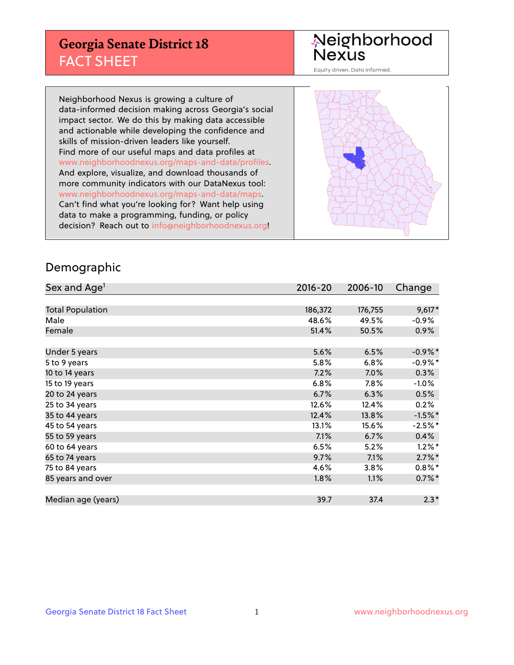## **Georgia Senate District 18** FACT SHEET

# Neighborhood<br>Nexus

Equity driven. Data informed.

Neighborhood Nexus is growing a culture of data-informed decision making across Georgia's social impact sector. We do this by making data accessible and actionable while developing the confidence and skills of mission-driven leaders like yourself. Find more of our useful maps and data profiles at www.neighborhoodnexus.org/maps-and-data/profiles. And explore, visualize, and download thousands of more community indicators with our DataNexus tool: www.neighborhoodnexus.org/maps-and-data/maps. Can't find what you're looking for? Want help using data to make a programming, funding, or policy decision? Reach out to [info@neighborhoodnexus.org!](mailto:info@neighborhoodnexus.org)



### Demographic

| Sex and Age <sup>1</sup> | $2016 - 20$ | 2006-10 | Change     |
|--------------------------|-------------|---------|------------|
|                          |             |         |            |
| <b>Total Population</b>  | 186,372     | 176,755 | $9,617*$   |
| Male                     | 48.6%       | 49.5%   | $-0.9\%$   |
| Female                   | 51.4%       | 50.5%   | $0.9\%$    |
|                          |             |         |            |
| Under 5 years            | 5.6%        | 6.5%    | $-0.9\%$ * |
| 5 to 9 years             | $5.8\%$     | 6.8%    | $-0.9%$ *  |
| 10 to 14 years           | 7.2%        | 7.0%    | 0.3%       |
| 15 to 19 years           | 6.8%        | $7.8\%$ | $-1.0%$    |
| 20 to 24 years           | 6.7%        | 6.3%    | 0.5%       |
| 25 to 34 years           | 12.6%       | 12.4%   | 0.2%       |
| 35 to 44 years           | 12.4%       | 13.8%   | $-1.5%$ *  |
| 45 to 54 years           | 13.1%       | 15.6%   | $-2.5%$ *  |
| 55 to 59 years           | 7.1%        | 6.7%    | 0.4%       |
| 60 to 64 years           | 6.5%        | 5.2%    | $1.2\%$ *  |
| 65 to 74 years           | 9.7%        | 7.1%    | $2.7\%$ *  |
| 75 to 84 years           | 4.6%        | 3.8%    | $0.8\%$ *  |
| 85 years and over        | 1.8%        | 1.1%    | $0.7\%$ *  |
|                          |             |         |            |
| Median age (years)       | 39.7        | 37.4    | $2.3*$     |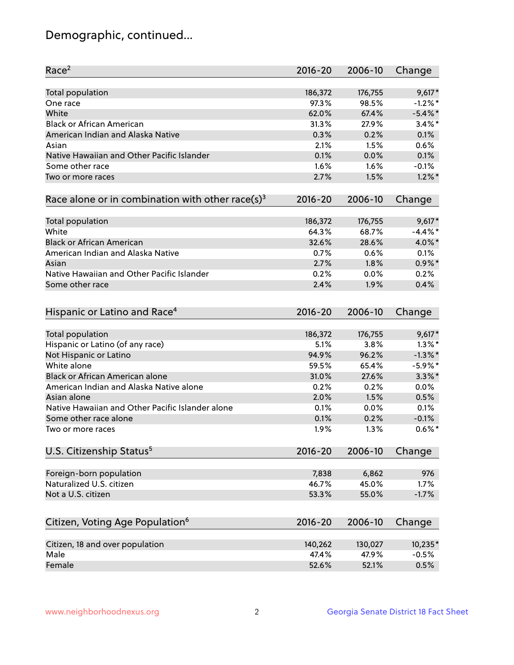## Demographic, continued...

| Race <sup>2</sup>                                            | $2016 - 20$    | 2006-10        | Change     |
|--------------------------------------------------------------|----------------|----------------|------------|
| <b>Total population</b>                                      | 186,372        | 176,755        | $9,617*$   |
| One race                                                     | 97.3%          | 98.5%          | $-1.2%$ *  |
| White                                                        | 62.0%          | 67.4%          | $-5.4\%$ * |
| <b>Black or African American</b>                             | 31.3%          | 27.9%          | $3.4\%$ *  |
| American Indian and Alaska Native                            | 0.3%           | 0.2%           | 0.1%       |
| Asian                                                        | 2.1%           | 1.5%           | 0.6%       |
| Native Hawaiian and Other Pacific Islander                   | 0.1%           | 0.0%           | 0.1%       |
| Some other race                                              | 1.6%           | 1.6%           | $-0.1%$    |
| Two or more races                                            | 2.7%           | 1.5%           | $1.2\%$ *  |
| Race alone or in combination with other race(s) <sup>3</sup> | $2016 - 20$    | 2006-10        | Change     |
| Total population                                             | 186,372        | 176,755        | $9,617*$   |
| White                                                        | 64.3%          | 68.7%          | $-4.4\%$ * |
| <b>Black or African American</b>                             | 32.6%          | 28.6%          | 4.0%*      |
| American Indian and Alaska Native                            | 0.7%           | 0.6%           | 0.1%       |
| Asian                                                        | 2.7%           | 1.8%           | $0.9\%$ *  |
| Native Hawaiian and Other Pacific Islander                   | 0.2%           | 0.0%           | 0.2%       |
| Some other race                                              | 2.4%           | 1.9%           | 0.4%       |
| Hispanic or Latino and Race <sup>4</sup>                     | $2016 - 20$    | 2006-10        | Change     |
| Total population                                             | 186,372        | 176,755        | $9,617*$   |
| Hispanic or Latino (of any race)                             | 5.1%           | 3.8%           | $1.3\%$ *  |
| Not Hispanic or Latino                                       | 94.9%          | 96.2%          | $-1.3\%$ * |
| White alone                                                  | 59.5%          | 65.4%          | $-5.9%$ *  |
| Black or African American alone                              | 31.0%          | 27.6%          | $3.3\%$ *  |
| American Indian and Alaska Native alone                      | 0.2%           | 0.2%           | 0.0%       |
| Asian alone                                                  | 2.0%           | 1.5%           | 0.5%       |
| Native Hawaiian and Other Pacific Islander alone             | 0.1%           | 0.0%           | 0.1%       |
| Some other race alone                                        | 0.1%           | 0.2%           | $-0.1%$    |
| Two or more races                                            | 1.9%           | 1.3%           | $0.6\%$ *  |
| U.S. Citizenship Status <sup>5</sup>                         | $2016 - 20$    | 2006-10        | Change     |
|                                                              |                |                | 976        |
| Foreign-born population<br>Naturalized U.S. citizen          | 7,838<br>46.7% | 6,862<br>45.0% | 1.7%       |
| Not a U.S. citizen                                           | 53.3%          | 55.0%          | $-1.7%$    |
|                                                              |                |                |            |
| Citizen, Voting Age Population <sup>6</sup>                  | 2016-20        | 2006-10        | Change     |
| Citizen, 18 and over population                              | 140,262        | 130,027        | 10,235*    |
| Male                                                         | 47.4%          | 47.9%          | $-0.5%$    |
| Female                                                       | 52.6%          | 52.1%          | 0.5%       |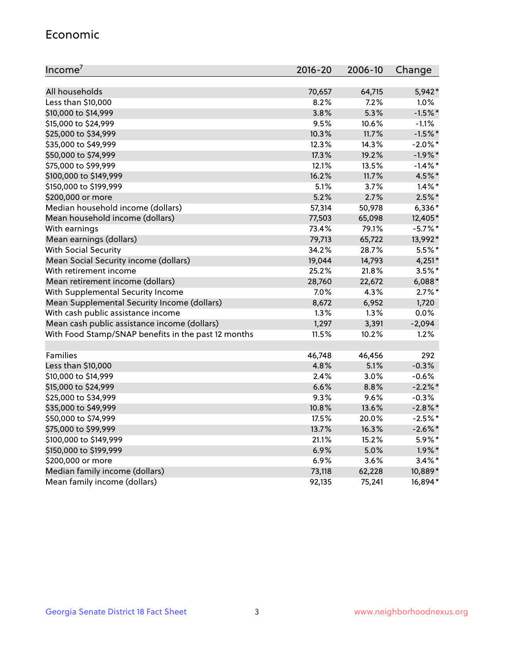#### Economic

| Income <sup>7</sup>                                 | $2016 - 20$ | 2006-10 | Change     |
|-----------------------------------------------------|-------------|---------|------------|
|                                                     |             |         |            |
| All households                                      | 70,657      | 64,715  | 5,942*     |
| Less than \$10,000                                  | 8.2%        | 7.2%    | 1.0%       |
| \$10,000 to \$14,999                                | 3.8%        | 5.3%    | $-1.5%$ *  |
| \$15,000 to \$24,999                                | 9.5%        | 10.6%   | $-1.1%$    |
| \$25,000 to \$34,999                                | 10.3%       | 11.7%   | $-1.5%$ *  |
| \$35,000 to \$49,999                                | 12.3%       | 14.3%   | $-2.0\%$ * |
| \$50,000 to \$74,999                                | 17.3%       | 19.2%   | $-1.9%$ *  |
| \$75,000 to \$99,999                                | 12.1%       | 13.5%   | $-1.4\%$ * |
| \$100,000 to \$149,999                              | 16.2%       | 11.7%   | 4.5%*      |
| \$150,000 to \$199,999                              | 5.1%        | 3.7%    | $1.4\%$ *  |
| \$200,000 or more                                   | 5.2%        | 2.7%    | $2.5\%$ *  |
| Median household income (dollars)                   | 57,314      | 50,978  | $6,336*$   |
| Mean household income (dollars)                     | 77,503      | 65,098  | 12,405*    |
| With earnings                                       | 73.4%       | 79.1%   | $-5.7\%$ * |
| Mean earnings (dollars)                             | 79,713      | 65,722  | 13,992*    |
| <b>With Social Security</b>                         | 34.2%       | 28.7%   | $5.5%$ *   |
| Mean Social Security income (dollars)               | 19,044      | 14,793  | $4,251*$   |
| With retirement income                              | 25.2%       | 21.8%   | $3.5%$ *   |
| Mean retirement income (dollars)                    | 28,760      | 22,672  | $6,088*$   |
| With Supplemental Security Income                   | 7.0%        | 4.3%    | $2.7\%$ *  |
| Mean Supplemental Security Income (dollars)         | 8,672       | 6,952   | 1,720      |
| With cash public assistance income                  | 1.3%        | 1.3%    | 0.0%       |
| Mean cash public assistance income (dollars)        | 1,297       | 3,391   | $-2,094$   |
| With Food Stamp/SNAP benefits in the past 12 months | 11.5%       | 10.2%   | 1.2%       |
|                                                     |             |         |            |
| Families                                            | 46,748      | 46,456  | 292        |
| Less than \$10,000                                  | 4.8%        | 5.1%    | $-0.3%$    |
| \$10,000 to \$14,999                                | 2.4%        | 3.0%    | $-0.6%$    |
| \$15,000 to \$24,999                                | 6.6%        | 8.8%    | $-2.2%$    |
| \$25,000 to \$34,999                                | 9.3%        | 9.6%    | $-0.3%$    |
| \$35,000 to \$49,999                                | 10.8%       | 13.6%   | $-2.8\%$ * |
| \$50,000 to \$74,999                                | 17.5%       | 20.0%   | $-2.5%$ *  |
| \$75,000 to \$99,999                                | 13.7%       | 16.3%   | $-2.6\%$ * |
| \$100,000 to \$149,999                              | 21.1%       | 15.2%   | 5.9%*      |
| \$150,000 to \$199,999                              | 6.9%        | 5.0%    | $1.9\%$ *  |
| \$200,000 or more                                   | 6.9%        | 3.6%    | $3.4\%$ *  |
| Median family income (dollars)                      | 73,118      | 62,228  | 10,889*    |
| Mean family income (dollars)                        | 92,135      | 75,241  | 16,894*    |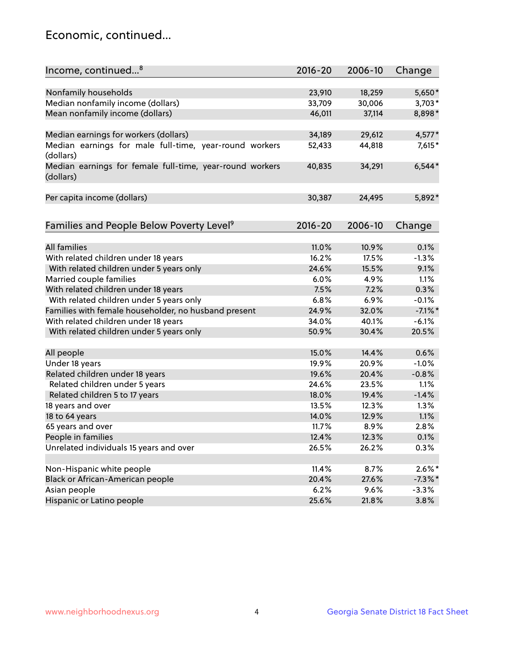## Economic, continued...

| Income, continued <sup>8</sup>                                        | $2016 - 20$ | 2006-10 | Change     |
|-----------------------------------------------------------------------|-------------|---------|------------|
|                                                                       |             |         |            |
| Nonfamily households                                                  | 23,910      | 18,259  | 5,650*     |
| Median nonfamily income (dollars)                                     | 33,709      | 30,006  | $3,703*$   |
| Mean nonfamily income (dollars)                                       | 46,011      | 37,114  | 8,898*     |
| Median earnings for workers (dollars)                                 | 34,189      | 29,612  | 4,577*     |
| Median earnings for male full-time, year-round workers<br>(dollars)   | 52,433      | 44,818  | 7,615*     |
| Median earnings for female full-time, year-round workers<br>(dollars) | 40,835      | 34,291  | $6,544*$   |
| Per capita income (dollars)                                           | 30,387      | 24,495  | 5,892*     |
|                                                                       |             |         |            |
| Families and People Below Poverty Level <sup>9</sup>                  | $2016 - 20$ | 2006-10 | Change     |
| <b>All families</b>                                                   | 11.0%       | 10.9%   | 0.1%       |
| With related children under 18 years                                  | 16.2%       | 17.5%   | $-1.3%$    |
| With related children under 5 years only                              | 24.6%       | 15.5%   | 9.1%       |
| Married couple families                                               | 6.0%        | 4.9%    | 1.1%       |
| With related children under 18 years                                  | 7.5%        | 7.2%    | 0.3%       |
| With related children under 5 years only                              | 6.8%        | 6.9%    | $-0.1%$    |
| Families with female householder, no husband present                  | 24.9%       | 32.0%   | $-7.1\%$ * |
| With related children under 18 years                                  | 34.0%       | 40.1%   | $-6.1%$    |
| With related children under 5 years only                              | 50.9%       | 30.4%   | 20.5%      |
|                                                                       |             |         |            |
| All people                                                            | 15.0%       | 14.4%   | 0.6%       |
| Under 18 years                                                        | 19.9%       | 20.9%   | $-1.0%$    |
| Related children under 18 years                                       | 19.6%       | 20.4%   | $-0.8%$    |
| Related children under 5 years                                        | 24.6%       | 23.5%   | 1.1%       |
| Related children 5 to 17 years                                        | 18.0%       | 19.4%   | $-1.4%$    |
| 18 years and over                                                     | 13.5%       | 12.3%   | 1.3%       |
| 18 to 64 years                                                        | 14.0%       | 12.9%   | 1.1%       |
| 65 years and over                                                     | 11.7%       | 8.9%    | 2.8%       |
| People in families                                                    | 12.4%       | 12.3%   | 0.1%       |
| Unrelated individuals 15 years and over                               | 26.5%       | 26.2%   | 0.3%       |
|                                                                       |             |         |            |
| Non-Hispanic white people                                             | 11.4%       | 8.7%    | $2.6\%$ *  |
| Black or African-American people                                      | 20.4%       | 27.6%   | $-7.3\%$ * |
| Asian people                                                          | 6.2%        | 9.6%    | $-3.3%$    |
| Hispanic or Latino people                                             | 25.6%       | 21.8%   | 3.8%       |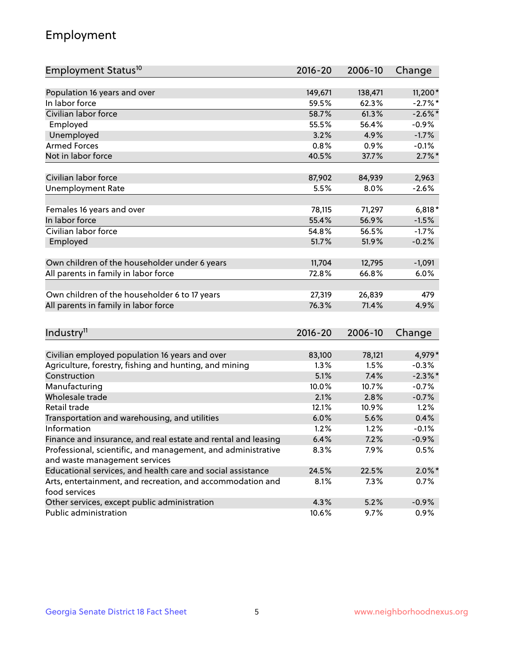## Employment

| Employment Status <sup>10</sup>                                             | 2016-20     | 2006-10 | Change     |
|-----------------------------------------------------------------------------|-------------|---------|------------|
|                                                                             |             |         |            |
| Population 16 years and over<br>In labor force                              | 149,671     | 138,471 | 11,200*    |
| Civilian labor force                                                        | 59.5%       | 62.3%   | $-2.7\%$ * |
|                                                                             | 58.7%       | 61.3%   | $-2.6\%$ * |
| Employed                                                                    | 55.5%       | 56.4%   | $-0.9%$    |
| Unemployed                                                                  | 3.2%        | 4.9%    | $-1.7%$    |
| <b>Armed Forces</b>                                                         | 0.8%        | 0.9%    | $-0.1%$    |
| Not in labor force                                                          | 40.5%       | 37.7%   | $2.7\%$ *  |
| Civilian labor force                                                        | 87,902      | 84,939  | 2,963      |
| <b>Unemployment Rate</b>                                                    | 5.5%        | 8.0%    | $-2.6%$    |
|                                                                             |             |         |            |
| Females 16 years and over                                                   | 78,115      | 71,297  | $6,818*$   |
| In labor force                                                              | 55.4%       | 56.9%   | $-1.5%$    |
| Civilian labor force                                                        | 54.8%       | 56.5%   | $-1.7%$    |
| Employed                                                                    | 51.7%       | 51.9%   | $-0.2%$    |
|                                                                             |             |         |            |
| Own children of the householder under 6 years                               | 11,704      | 12,795  | $-1,091$   |
| All parents in family in labor force                                        | 72.8%       | 66.8%   | 6.0%       |
| Own children of the householder 6 to 17 years                               | 27,319      | 26,839  | 479        |
| All parents in family in labor force                                        | 76.3%       | 71.4%   | 4.9%       |
|                                                                             |             |         |            |
| Industry <sup>11</sup>                                                      | $2016 - 20$ | 2006-10 | Change     |
|                                                                             |             |         |            |
| Civilian employed population 16 years and over                              | 83,100      | 78,121  | 4,979*     |
| Agriculture, forestry, fishing and hunting, and mining                      | 1.3%        | 1.5%    | $-0.3%$    |
| Construction                                                                | 5.1%        | 7.4%    | $-2.3\%$ * |
| Manufacturing                                                               | 10.0%       | 10.7%   | $-0.7%$    |
| Wholesale trade                                                             | 2.1%        | 2.8%    | $-0.7%$    |
| Retail trade                                                                | 12.1%       | 10.9%   | 1.2%       |
| Transportation and warehousing, and utilities                               | 6.0%        | 5.6%    | 0.4%       |
| Information                                                                 | 1.2%        | 1.2%    | $-0.1%$    |
| Finance and insurance, and real estate and rental and leasing               | 6.4%        | 7.2%    | $-0.9%$    |
| Professional, scientific, and management, and administrative                | 8.3%        | 7.9%    | 0.5%       |
| and waste management services                                               |             |         |            |
| Educational services, and health care and social assistance                 | 24.5%       | 22.5%   | $2.0\%$ *  |
| Arts, entertainment, and recreation, and accommodation and<br>food services | 8.1%        | 7.3%    | 0.7%       |
| Other services, except public administration                                | 4.3%        | 5.2%    | $-0.9%$    |
| Public administration                                                       | 10.6%       | 9.7%    | 0.9%       |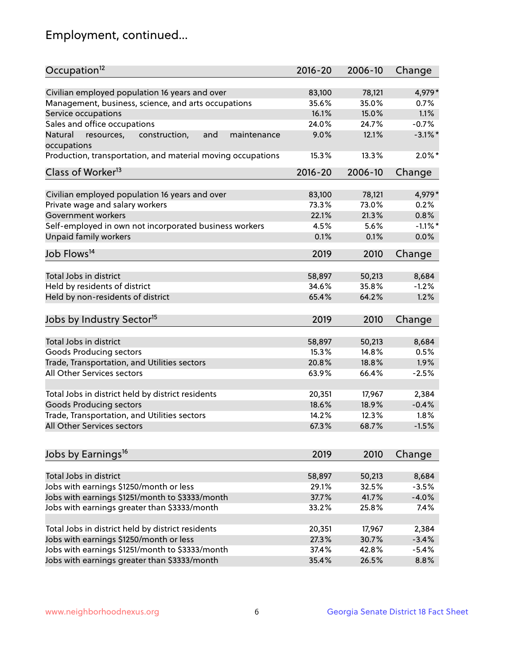## Employment, continued...

| Occupation <sup>12</sup>                                    | $2016 - 20$ | 2006-10 | Change     |
|-------------------------------------------------------------|-------------|---------|------------|
| Civilian employed population 16 years and over              | 83,100      | 78,121  | 4,979*     |
| Management, business, science, and arts occupations         | 35.6%       | 35.0%   | 0.7%       |
| Service occupations                                         | 16.1%       | 15.0%   | 1.1%       |
| Sales and office occupations                                | 24.0%       | 24.7%   | $-0.7%$    |
| Natural<br>and<br>maintenance                               | 9.0%        | 12.1%   | $-3.1\%$ * |
| resources,<br>construction,<br>occupations                  |             |         |            |
| Production, transportation, and material moving occupations | 15.3%       | 13.3%   | $2.0\%$ *  |
| Class of Worker <sup>13</sup>                               | $2016 - 20$ | 2006-10 | Change     |
| Civilian employed population 16 years and over              | 83,100      | 78,121  | 4,979*     |
| Private wage and salary workers                             | 73.3%       | 73.0%   | 0.2%       |
| Government workers                                          | 22.1%       | 21.3%   | 0.8%       |
| Self-employed in own not incorporated business workers      | 4.5%        | 5.6%    | $-1.1\%$ * |
| Unpaid family workers                                       | 0.1%        | 0.1%    | 0.0%       |
| Job Flows <sup>14</sup>                                     | 2019        | 2010    | Change     |
|                                                             |             |         |            |
| Total Jobs in district                                      | 58,897      | 50,213  | 8,684      |
| Held by residents of district                               | 34.6%       | 35.8%   | $-1.2%$    |
| Held by non-residents of district                           | 65.4%       | 64.2%   | 1.2%       |
| Jobs by Industry Sector <sup>15</sup>                       | 2019        | 2010    | Change     |
| Total Jobs in district                                      | 58,897      | 50,213  | 8,684      |
| Goods Producing sectors                                     | 15.3%       | 14.8%   | 0.5%       |
| Trade, Transportation, and Utilities sectors                | 20.8%       | 18.8%   | 1.9%       |
| All Other Services sectors                                  | 63.9%       | 66.4%   | $-2.5%$    |
|                                                             |             |         |            |
| Total Jobs in district held by district residents           | 20,351      | 17,967  | 2,384      |
| <b>Goods Producing sectors</b>                              | 18.6%       | 18.9%   | $-0.4%$    |
| Trade, Transportation, and Utilities sectors                | 14.2%       | 12.3%   | 1.8%       |
| All Other Services sectors                                  | 67.3%       | 68.7%   | $-1.5%$    |
|                                                             |             |         |            |
| Jobs by Earnings <sup>16</sup>                              | 2019        | 2010    | Change     |
| Total Jobs in district                                      | 58,897      | 50,213  | 8,684      |
| Jobs with earnings \$1250/month or less                     | 29.1%       | 32.5%   | $-3.5%$    |
| Jobs with earnings \$1251/month to \$3333/month             | 37.7%       | 41.7%   | $-4.0%$    |
| Jobs with earnings greater than \$3333/month                | 33.2%       | 25.8%   | 7.4%       |
|                                                             |             |         |            |
| Total Jobs in district held by district residents           | 20,351      | 17,967  | 2,384      |
| Jobs with earnings \$1250/month or less                     | 27.3%       | 30.7%   | $-3.4%$    |
| Jobs with earnings \$1251/month to \$3333/month             | 37.4%       | 42.8%   | $-5.4%$    |
| Jobs with earnings greater than \$3333/month                | 35.4%       | 26.5%   | 8.8%       |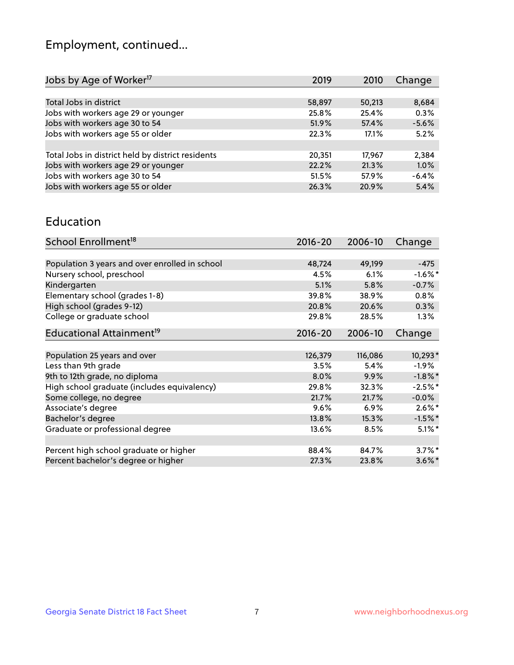## Employment, continued...

| 2019   | 2010   | Change  |
|--------|--------|---------|
|        |        |         |
| 58,897 | 50,213 | 8,684   |
| 25.8%  | 25.4%  | 0.3%    |
| 51.9%  | 57.4%  | $-5.6%$ |
| 22.3%  | 17.1%  | 5.2%    |
|        |        |         |
| 20,351 | 17.967 | 2,384   |
| 22.2%  | 21.3%  | 1.0%    |
| 51.5%  | 57.9%  | $-6.4%$ |
| 26.3%  | 20.9%  | 5.4%    |
|        |        |         |

#### Education

| School Enrollment <sup>18</sup>                | $2016 - 20$ | 2006-10 | Change     |
|------------------------------------------------|-------------|---------|------------|
|                                                |             |         |            |
| Population 3 years and over enrolled in school | 48,724      | 49,199  | $-475$     |
| Nursery school, preschool                      | 4.5%        | 6.1%    | $-1.6\%$ * |
| Kindergarten                                   | 5.1%        | 5.8%    | $-0.7%$    |
| Elementary school (grades 1-8)                 | 39.8%       | 38.9%   | 0.8%       |
| High school (grades 9-12)                      | 20.8%       | 20.6%   | 0.3%       |
| College or graduate school                     | 29.8%       | 28.5%   | $1.3\%$    |
| Educational Attainment <sup>19</sup>           | $2016 - 20$ | 2006-10 | Change     |
|                                                |             |         |            |
| Population 25 years and over                   | 126,379     | 116,086 | 10,293*    |
| Less than 9th grade                            | 3.5%        | 5.4%    | $-1.9%$    |
| 9th to 12th grade, no diploma                  | 8.0%        | 9.9%    | $-1.8\%$ * |
| High school graduate (includes equivalency)    | 29.8%       | 32.3%   | $-2.5%$ *  |
| Some college, no degree                        | 21.7%       | 21.7%   | $-0.0%$    |
| Associate's degree                             | 9.6%        | 6.9%    | $2.6\%$ *  |
| Bachelor's degree                              | 13.8%       | 15.3%   | $-1.5%$ *  |
| Graduate or professional degree                | 13.6%       | 8.5%    | $5.1\%$ *  |
|                                                |             |         |            |
| Percent high school graduate or higher         | 88.4%       | 84.7%   | $3.7\%$ *  |
| Percent bachelor's degree or higher            | 27.3%       | 23.8%   | $3.6\%$ *  |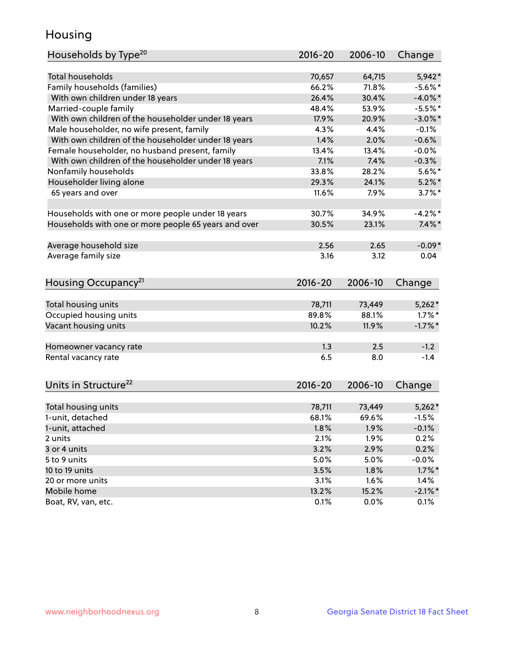## Housing

| Households by Type <sup>20</sup>                     | 2016-20 | 2006-10 | Change     |
|------------------------------------------------------|---------|---------|------------|
|                                                      |         |         |            |
| <b>Total households</b>                              | 70,657  | 64,715  | $5,942*$   |
| Family households (families)                         | 66.2%   | 71.8%   | $-5.6\%$ * |
| With own children under 18 years                     | 26.4%   | 30.4%   | $-4.0\%$ * |
| Married-couple family                                | 48.4%   | 53.9%   | $-5.5%$ *  |
| With own children of the householder under 18 years  | 17.9%   | 20.9%   | $-3.0\%$ * |
| Male householder, no wife present, family            | 4.3%    | 4.4%    | $-0.1%$    |
| With own children of the householder under 18 years  | 1.4%    | 2.0%    | $-0.6%$    |
| Female householder, no husband present, family       | 13.4%   | 13.4%   | $-0.0\%$   |
| With own children of the householder under 18 years  | 7.1%    | 7.4%    | $-0.3%$    |
| Nonfamily households                                 | 33.8%   | 28.2%   | $5.6\%$ *  |
| Householder living alone                             | 29.3%   | 24.1%   | $5.2\%$ *  |
| 65 years and over                                    | 11.6%   | 7.9%    | $3.7\%$ *  |
|                                                      |         |         |            |
| Households with one or more people under 18 years    | 30.7%   | 34.9%   | $-4.2%$    |
| Households with one or more people 65 years and over | 30.5%   | 23.1%   | $7.4\%$ *  |
|                                                      |         |         |            |
| Average household size                               | 2.56    | 2.65    | $-0.09*$   |
| Average family size                                  | 3.16    | 3.12    | 0.04       |
|                                                      |         |         |            |
| Housing Occupancy <sup>21</sup>                      | 2016-20 | 2006-10 | Change     |
|                                                      |         |         |            |
| Total housing units                                  | 78,711  | 73,449  | $5,262*$   |
| Occupied housing units                               | 89.8%   | 88.1%   | $1.7\%$ *  |
| Vacant housing units                                 | 10.2%   | 11.9%   | $-1.7%$ *  |
| Homeowner vacancy rate                               | 1.3     | 2.5     | $-1.2$     |
| Rental vacancy rate                                  | 6.5     | 8.0     | $-1.4$     |
|                                                      |         |         |            |
| Units in Structure <sup>22</sup>                     | 2016-20 | 2006-10 | Change     |
|                                                      |         |         |            |
| Total housing units                                  | 78,711  | 73,449  | $5,262*$   |
| 1-unit, detached                                     |         |         |            |
|                                                      | 68.1%   | 69.6%   | $-1.5%$    |
| 1-unit, attached                                     | 1.8%    | 1.9%    | $-0.1%$    |
| 2 units                                              | 2.1%    | 1.9%    | 0.2%       |
| 3 or 4 units                                         | 3.2%    | 2.9%    | 0.2%       |
| 5 to 9 units                                         | 5.0%    | 5.0%    | $-0.0%$    |
| 10 to 19 units                                       | 3.5%    | 1.8%    | $1.7\%$ *  |
| 20 or more units                                     | 3.1%    | 1.6%    | 1.4%       |
| Mobile home                                          | 13.2%   | 15.2%   | $-2.1\%$ * |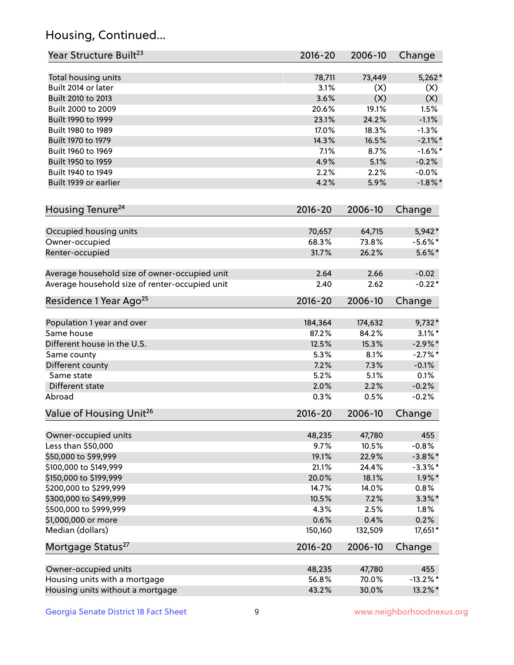## Housing, Continued...

| Year Structure Built <sup>23</sup>             | 2016-20     | 2006-10 | Change      |
|------------------------------------------------|-------------|---------|-------------|
| Total housing units                            | 78,711      | 73,449  | $5,262*$    |
| Built 2014 or later                            | 3.1%        | (X)     | (X)         |
| Built 2010 to 2013                             | 3.6%        | (X)     | (X)         |
| Built 2000 to 2009                             | 20.6%       | 19.1%   | 1.5%        |
| Built 1990 to 1999                             | 23.1%       | 24.2%   | $-1.1%$     |
| Built 1980 to 1989                             | 17.0%       | 18.3%   | $-1.3%$     |
| Built 1970 to 1979                             | 14.3%       | 16.5%   | $-2.1\%$ *  |
| Built 1960 to 1969                             | 7.1%        | 8.7%    | $-1.6%$ *   |
| Built 1950 to 1959                             | 4.9%        | 5.1%    | $-0.2%$     |
| Built 1940 to 1949                             | 2.2%        | 2.2%    | $-0.0%$     |
| Built 1939 or earlier                          | 4.2%        | 5.9%    | $-1.8\%$ *  |
| Housing Tenure <sup>24</sup>                   | $2016 - 20$ | 2006-10 | Change      |
| Occupied housing units                         | 70,657      | 64,715  | 5,942*      |
| Owner-occupied                                 | 68.3%       | 73.8%   | $-5.6\%$ *  |
| Renter-occupied                                | 31.7%       | 26.2%   | $5.6\%$ *   |
| Average household size of owner-occupied unit  | 2.64        | 2.66    | $-0.02$     |
| Average household size of renter-occupied unit | 2.40        | 2.62    | $-0.22*$    |
| Residence 1 Year Ago <sup>25</sup>             | $2016 - 20$ | 2006-10 | Change      |
| Population 1 year and over                     | 184,364     | 174,632 | $9,732*$    |
| Same house                                     | 87.2%       | 84.2%   | $3.1\%$ *   |
| Different house in the U.S.                    | 12.5%       | 15.3%   | $-2.9\%$ *  |
| Same county                                    | 5.3%        | 8.1%    | $-2.7%$ *   |
| Different county                               | 7.2%        | 7.3%    | $-0.1%$     |
| Same state                                     | 5.2%        | 5.1%    | 0.1%        |
| Different state                                | 2.0%        | 2.2%    | $-0.2%$     |
| Abroad                                         | 0.3%        | 0.5%    | $-0.2%$     |
| Value of Housing Unit <sup>26</sup>            | 2016-20     | 2006-10 | Change      |
| Owner-occupied units                           | 48,235      | 47,780  | 455         |
| Less than \$50,000                             | 9.7%        | 10.5%   | $-0.8%$     |
| \$50,000 to \$99,999                           | 19.1%       | 22.9%   | $-3.8\%$ *  |
| \$100,000 to \$149,999                         | 21.1%       | 24.4%   | $-3.3\%$ *  |
| \$150,000 to \$199,999                         | 20.0%       | 18.1%   | $1.9\%$ *   |
| \$200,000 to \$299,999                         | 14.7%       | 14.0%   | 0.8%        |
| \$300,000 to \$499,999                         | 10.5%       | 7.2%    | $3.3\%$ *   |
| \$500,000 to \$999,999                         | 4.3%        | 2.5%    | 1.8%        |
| \$1,000,000 or more                            | 0.6%        | 0.4%    | 0.2%        |
| Median (dollars)                               | 150,160     | 132,509 | 17,651*     |
| Mortgage Status <sup>27</sup>                  | $2016 - 20$ | 2006-10 | Change      |
| Owner-occupied units                           | 48,235      | 47,780  | 455         |
| Housing units with a mortgage                  | 56.8%       | 70.0%   | $-13.2\%$ * |
| Housing units without a mortgage               | 43.2%       | 30.0%   | 13.2%*      |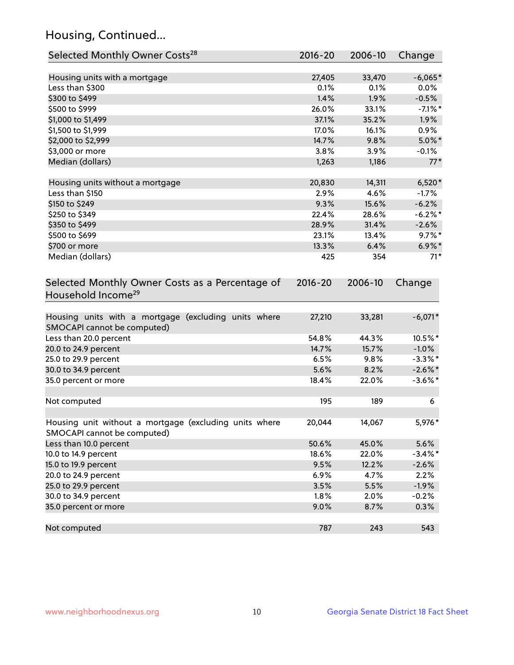## Housing, Continued...

| Selected Monthly Owner Costs <sup>28</sup>                                            | 2016-20     | 2006-10 | Change     |
|---------------------------------------------------------------------------------------|-------------|---------|------------|
| Housing units with a mortgage                                                         | 27,405      | 33,470  | $-6,065*$  |
| Less than \$300                                                                       | 0.1%        | 0.1%    | 0.0%       |
| \$300 to \$499                                                                        | 1.4%        | 1.9%    | $-0.5%$    |
| \$500 to \$999                                                                        | 26.0%       | 33.1%   | $-7.1\%$ * |
| \$1,000 to \$1,499                                                                    | 37.1%       | 35.2%   | 1.9%       |
| \$1,500 to \$1,999                                                                    | 17.0%       | 16.1%   | 0.9%       |
| \$2,000 to \$2,999                                                                    | 14.7%       | 9.8%    | $5.0\%$ *  |
| \$3,000 or more                                                                       | 3.8%        | 3.9%    | $-0.1\%$   |
| Median (dollars)                                                                      | 1,263       | 1,186   | $77*$      |
| Housing units without a mortgage                                                      | 20,830      | 14,311  | $6,520*$   |
| Less than \$150                                                                       | 2.9%        | 4.6%    | $-1.7%$    |
| \$150 to \$249                                                                        | 9.3%        | 15.6%   | $-6.2%$    |
| \$250 to \$349                                                                        | 22.4%       | 28.6%   | $-6.2%$ *  |
| \$350 to \$499                                                                        | 28.9%       | 31.4%   | $-2.6%$    |
| \$500 to \$699                                                                        | 23.1%       | 13.4%   | $9.7\%$ *  |
| \$700 or more                                                                         | 13.3%       | 6.4%    | $6.9\%$ *  |
| Median (dollars)                                                                      | 425         | 354     | $71*$      |
| Selected Monthly Owner Costs as a Percentage of<br>Household Income <sup>29</sup>     | $2016 - 20$ | 2006-10 | Change     |
| Housing units with a mortgage (excluding units where<br>SMOCAPI cannot be computed)   | 27,210      | 33,281  | $-6,071*$  |
| Less than 20.0 percent                                                                | 54.8%       | 44.3%   | 10.5%*     |
| 20.0 to 24.9 percent                                                                  | 14.7%       | 15.7%   | $-1.0%$    |
| 25.0 to 29.9 percent                                                                  | 6.5%        | 9.8%    | $-3.3\%$ * |
| 30.0 to 34.9 percent                                                                  | 5.6%        | 8.2%    | $-2.6\%$ * |
| 35.0 percent or more                                                                  | 18.4%       | 22.0%   | $-3.6\%$ * |
| Not computed                                                                          | 195         | 189     | 6          |
| Housing unit without a mortgage (excluding units where<br>SMOCAPI cannot be computed) | 20,044      | 14,067  | 5,976*     |
| Less than 10.0 percent                                                                | 50.6%       | 45.0%   | 5.6%       |
| 10.0 to 14.9 percent                                                                  | 18.6%       | 22.0%   | $-3.4\%$ * |
| 15.0 to 19.9 percent                                                                  | 9.5%        | 12.2%   | $-2.6%$    |
| 20.0 to 24.9 percent                                                                  | 6.9%        | 4.7%    | 2.2%       |
| 25.0 to 29.9 percent                                                                  | 3.5%        | 5.5%    | $-1.9%$    |
| 30.0 to 34.9 percent                                                                  | 1.8%        | 2.0%    | $-0.2%$    |
| 35.0 percent or more                                                                  | 9.0%        | 8.7%    | 0.3%       |
| Not computed                                                                          | 787         | 243     | 543        |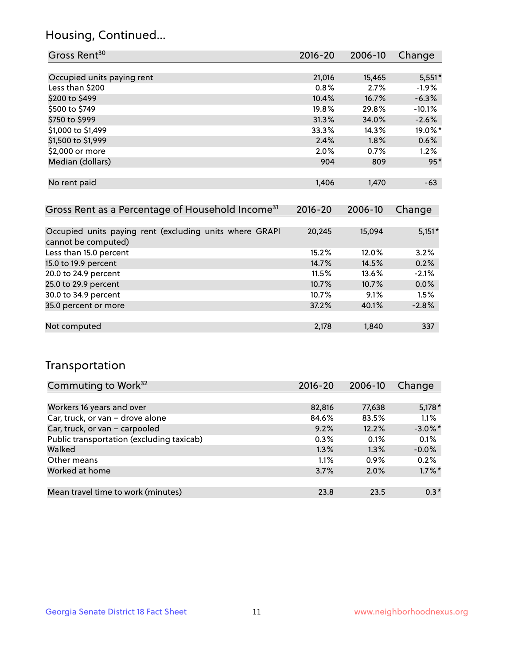## Housing, Continued...

| Gross Rent <sup>30</sup>                                     | 2016-20     | 2006-10 | Change   |
|--------------------------------------------------------------|-------------|---------|----------|
|                                                              |             |         |          |
| Occupied units paying rent                                   | 21,016      | 15,465  | $5,551*$ |
| Less than \$200                                              | $0.8\%$     | 2.7%    | $-1.9\%$ |
| \$200 to \$499                                               | 10.4%       | 16.7%   | $-6.3%$  |
| \$500 to \$749                                               | 19.8%       | 29.8%   | $-10.1%$ |
| \$750 to \$999                                               | 31.3%       | 34.0%   | $-2.6%$  |
| \$1,000 to \$1,499                                           | 33.3%       | 14.3%   | 19.0%*   |
| \$1,500 to \$1,999                                           | 2.4%        | 1.8%    | 0.6%     |
| \$2,000 or more                                              | 2.0%        | 0.7%    | $1.2\%$  |
| Median (dollars)                                             | 904         | 809     | $95*$    |
|                                                              |             |         |          |
| No rent paid                                                 | 1,406       | 1,470   | $-63$    |
|                                                              |             |         |          |
| Gross Rent as a Percentage of Household Income <sup>31</sup> | $2016 - 20$ | 2006-10 | Change   |

| Occupied units paying rent (excluding units where GRAPI<br>cannot be computed) | 20,245 | 15,094 | $5,151*$ |
|--------------------------------------------------------------------------------|--------|--------|----------|
| Less than 15.0 percent                                                         | 15.2%  | 12.0%  | 3.2%     |
| 15.0 to 19.9 percent                                                           | 14.7%  | 14.5%  | 0.2%     |
| 20.0 to 24.9 percent                                                           | 11.5%  | 13.6%  | $-2.1%$  |
| 25.0 to 29.9 percent                                                           | 10.7%  | 10.7%  | 0.0%     |
| 30.0 to 34.9 percent                                                           | 10.7%  | 9.1%   | 1.5%     |
| 35.0 percent or more                                                           | 37.2%  | 40.1%  | $-2.8%$  |
|                                                                                |        |        |          |
| Not computed                                                                   | 2,178  | 1,840  | 337      |

## Transportation

| Commuting to Work <sup>32</sup>           | 2016-20 | 2006-10 | Change     |
|-------------------------------------------|---------|---------|------------|
|                                           |         |         |            |
| Workers 16 years and over                 | 82,816  | 77,638  | $5,178*$   |
| Car, truck, or van - drove alone          | 84.6%   | 83.5%   | 1.1%       |
| Car, truck, or van - carpooled            | 9.2%    | 12.2%   | $-3.0\%$ * |
| Public transportation (excluding taxicab) | 0.3%    | 0.1%    | 0.1%       |
| Walked                                    | 1.3%    | 1.3%    | $-0.0%$    |
| Other means                               | 1.1%    | $0.9\%$ | 0.2%       |
| Worked at home                            | 3.7%    | 2.0%    | $1.7\%$ *  |
|                                           |         |         |            |
| Mean travel time to work (minutes)        | 23.8    | 23.5    | $0.3*$     |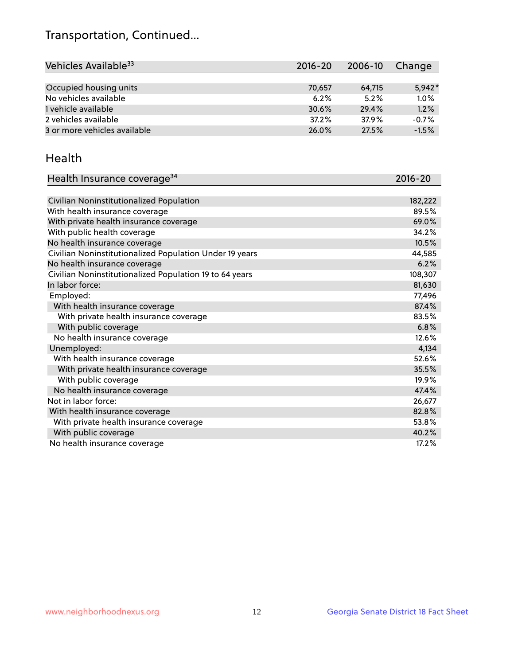## Transportation, Continued...

| Vehicles Available <sup>33</sup> | $2016 - 20$ | 2006-10 | Change   |
|----------------------------------|-------------|---------|----------|
|                                  |             |         |          |
| Occupied housing units           | 70,657      | 64,715  | $5.942*$ |
| No vehicles available            | 6.2%        | 5.2%    | 1.0%     |
| 1 vehicle available              | 30.6%       | 29.4%   | 1.2%     |
| 2 vehicles available             | 37.2%       | 37.9%   | $-0.7%$  |
| 3 or more vehicles available     | 26.0%       | 27.5%   | $-1.5%$  |

#### Health

| Health Insurance coverage <sup>34</sup>                 | 2016-20 |
|---------------------------------------------------------|---------|
|                                                         |         |
| Civilian Noninstitutionalized Population                | 182,222 |
| With health insurance coverage                          | 89.5%   |
| With private health insurance coverage                  | 69.0%   |
| With public health coverage                             | 34.2%   |
| No health insurance coverage                            | 10.5%   |
| Civilian Noninstitutionalized Population Under 19 years | 44,585  |
| No health insurance coverage                            | 6.2%    |
| Civilian Noninstitutionalized Population 19 to 64 years | 108,307 |
| In labor force:                                         | 81,630  |
| Employed:                                               | 77,496  |
| With health insurance coverage                          | 87.4%   |
| With private health insurance coverage                  | 83.5%   |
| With public coverage                                    | 6.8%    |
| No health insurance coverage                            | 12.6%   |
| Unemployed:                                             | 4,134   |
| With health insurance coverage                          | 52.6%   |
| With private health insurance coverage                  | 35.5%   |
| With public coverage                                    | 19.9%   |
| No health insurance coverage                            | 47.4%   |
| Not in labor force:                                     | 26,677  |
| With health insurance coverage                          | 82.8%   |
| With private health insurance coverage                  | 53.8%   |
| With public coverage                                    | 40.2%   |
| No health insurance coverage                            | 17.2%   |